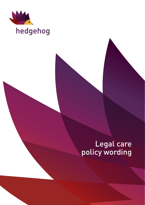

# hedgehog

# Legal care policy wording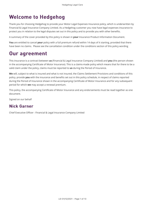# **Welcome to Hedgehog**

Thank you for choosing Hedgehog to provide your Motor Legal Expenses Insurance policy, which is underwritten by Financial & Legal Insurance Company Limited. As a Hedgehog customer you now have legal expenses insurance to protect you in relation to the legal disputes set out in this policy and to provide you with other benefits.

A summary of the cover provided by this policy is shown in **your** Insurance Product Information Document.

**You** are entitled to cancel **your** policy with a full premium refund within 14 days of it starting, provided that there have been no claims. Please see the cancellation condition under the conditions section of this policy wording

# Our agreement

This insurance is a contract between **us** (Financial & Legal Insurance Company Limited) and **you** (the person shown in the accompanying Certificate of Motor Insurance). This is a claims-made policy which means that for there to be a valid claim under the policy, claims must be reported to **us** during the Period of Insurance.

**We** will, subject to what is insured and what is not insured, the Claims Settlement Provisions and conditions of this policy, provide **you** with the insurance and benefits set out in this policy schedule, in respect of claims reported during the Period of Insurance shown in the accompanying Certificate of Motor Insurance and for any subsequent period for which **we** may accept a renewal premium.

This policy, the accompanying Certificate of Motor Insurance and any endorsements must be read together as one document.

Signed on our behalf

## Nick Garner

Chief Executive Officer - Financial & Legal Insurance Company Limited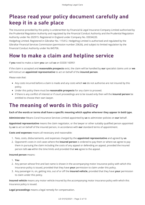# Please read your policy document carefully and keep it in a safe place

The insurance provided by this policy is underwritten by Financial & Legal Insurance Company Limited authorised by the Prudential Regulation Authority and regulated by the Financial Conduct Authority and the Prudential Regulation Authority under No 202915. Registered in England under Company No. 03034220.

Hedgehog Limited. Registered in Gibraltar No. 115412. Hedgehog Limited is authorised and regulated by the Gibraltar Financial Services Commission (permission number 23626), and subject to limited regulation by the Financial Conduct Authority under No 845706.

# How to make a claim and helpline service

If **you** need to make a claim **you** can call **us** on 03330 160951

If the claim is accepted and **reasonable prospects** exist, the claim will be handled by **our** specialist claims unit or **we** will instruct an **appointed representative** to act on behalf of the **insured person**.

*Please note that*:

- Any costs incurred before a claim is made and any costs which **we** do not authorise are not insured by this policy.
- Under this policy there must be **reasonable prospects** for any claim to proceed.
- If there is any conflict of interest or if court proceedings are to be issued only then will the **insured person** be entitled to choose their own lawyer.

# The meaning of words in this policy

#### **Each of the words or terms shall have a specific meaning which applies wherever they appear in bold type.**

**Administrator** Means Coral Insurance Services Limited appointed by **us** to administer policies on **our** behalf.

**Appointed representative** means the claim negotiator, or the lawyer or other suitably qualified person appointed by **us** to act on behalf of the insured person, in accordance with **our** standard terms of appointment.

**Costs and expenses** means all necessary and reasonable:

- 1. Fees, costs, disbursements, and expenses charged by the **appointed representative** and agreed by **us**
- 2. Opponent's costs in civil cases where the **insured person** is ordered to pay them or where we agree to pay them in pursuing the claim including the costs of any appeal or defending an appeal, provided the insured person tells **us** within the time limits and provided that **we** agree to the appeal.

**Insured person** means:

- 1. **You**
- 2. Any person whose first and last name is shown in the accompanying motor insurance policy with which this Insurance policy is issued, provided that they have **your** permission to claim under this policy.
- 3. Any passenger in, on, getting into, out of or off the **insured vehicle**, provided that they have **your** permission to claim under this policy.

**Insured vehicle** means any motor vehicle insured by the accompanying motor insurance policy with which this Insurance policy is issued.

**Legal proceedings** means a legal remedy for compensation.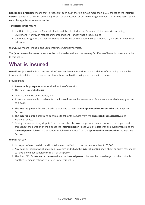**Reasonable prospects** means that in respect of each claim there is always more than a 50% chance of the **insured Person** recovering damages, defending a claim or prosecution, or obtaining a legal remedy. This will be assessed by **us** or the **appointed representative**.

#### **Territorial limits** means

- 1. the United Kingdom, the Channel Islands and the Isle of Man, the European Union countries including Switzerland, Norway, in respect of Insured Incident 1 under what is insured, and
- 2. the United Kingdom, the Channel Islands and the Isle of Man under insured incidents, 2, 3, 4 and 5 under what is insured.

**We/us/our** means Financial and Legal Insurance Company Limited.

**You/your** means the person shown as the policyholder in the accompanying Certificate of Motor Insurance attached to this policy.

# What is insured

**We** will, subject to what is not insured, the Claims Settlement Provisions and Conditions of this policy provide the insurance in relation to the insured Incidents shown within this policy which are set out below.

Provided that:

- 1. **Reasonable prospects** exist for the duration of the claim.
- 2. The claim is reported to **us**
- During the Period of Insurance, and
- As soon as reasonably possible after the **insured person** became aware of circumstances which may give rise to a claim.
- 3. The **insured person** follows the advice provided to them by **our appointed representative** and Helpline Service.
- 4. The **insured person** seeks and continues to follow the advice from the **appointed representative** and Helpline Service.
- 5. During the course of any dispute from the date that the **insured person** became aware of the dispute and throughout the duration of the dispute the **insured person** keeps **us** up to date with all developments and the **insured person** follows and continues to follow the advice from the **appointed representative** and Helpline Service.

**We** will not pay:

- 1. In respect of any one claim and in total in any one Period of Insurance more than £100,000.
- 2. Any claim or incident which may lead to a claim and which the **insured person** knew about or ought reasonably to have known about before the start of this policy.
- 3. The first 10% of **costs and expenses** where the **insured person** chooses their own lawyer or other suitably qualified person in relation to a claim under this policy.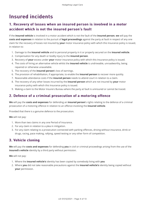# Insured incidents

### 1. Recovery of losses when an insured person is involved in a motor accident which is not the insured person's fault

If the **insured vehicle** is involved in a motor accident which is not the fault of the **insured person**, **we** will pay the **costs and expenses** in relation to the pursuit of **legal proceedings** against the party at fault in respect of any one claim for the recovery of losses not insured by **your** motor insurance policy with which this Insurance policy is issued, in relation to:

- 1. Damage to the **insured vehicle** and to personal property in it or properly secured on the **insured vehicle**.
- 2. Compensation for any death or bodily injury to the **insured person**.
- 3. Recovery of **your** excess under **your** motor insurance policy with which this Insurance policy is issued.
- 4. The costs of hiring an alternative vehicle whilst the **insured vehicle** is undriveable, unroadworthy, being repaired or otherwise unavailable.
- 5. The recovery of the **insured person**'s loss of earnings.
- 6. The provision of rehabilitation, if appropriate, to enable the **insured person** to recover more quickly.
- 7. Reasonable attendance costs if the **insured person** needs to attend court in relation to a claim.
- 8. The recovery of any other losses incurred by the **insured person** which are not insured by **your** motor insurance policy with which this Insurance policy is issued.
- 9. Making a claim to the Motor Insurers Bureau where the party at fault is uninsured or cannot be traced.

#### 2. Defence of a criminal prosecution of a motoring offence

**We** will pay the **costs and expenses** for defending an **insured person**'s rights relating to the defence of a criminal prosecution of a motoring offence in relation to an offence involving the **insured vehicle**.

Provided that there is a genuine defence to the prosecution.

**We** will not pay:

- 1. More than two claims in any one Period of Insurance.
- 2. For any claim in relation to a plea in mitigation.
- 3. For any claim relating to a prosecution connected with parking offences, driving without insurance, drink or drugs, racing, pace making, rallying, speed testing or any other form of competition.

#### 3. Vehicle cloning 3. Vehicle cloning

**We** will pay the **costs and expenses** for defending **you** in civil or criminal proceedings arising from the use of the **insured's vehicle** identity by a third party without permission.

**We** will not pay:

- 1. Where the **insured vehicle's** identity has been copied by somebody living with **you**
- 2. Where **you** did not take reasonable precautions against the **insured vehicle's** identity being copied without **your** permission.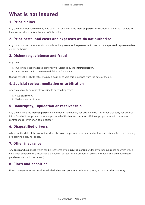# What is not insured

#### 1. Prior claims

Any claim or incident which may lead to a claim and which the **insured person** knew about or ought reasonably to have known about before the start of this policy.

#### 2. Prior costs, and costs and expenses we do not authorise

Any costs incurred before a claim is made and any **costs and expenses** which **we** or the **appointed representative** do not authorise.

### 3. Dishonesty, violence and fraud 3. Dishonesty, violence and fraud

Any claim:

- 1. Involving actual or alleged dishonesty or violence by the **insured person**.
- 2. Or statement which is overstated, false or fraudulent.

**We** will have the right to refuse to pay a claim or to void this insurance from the date of the act.

#### 4. Judicial review, mediation or arbitration 4. Judicial review, mediation or arbitration

Any claim directly or indirectly relating to or resulting from:

- 1. A judicial review.
- 2. Mediation or arbitration.

#### 5. Bankruptcy, liquidation or receivership 5. Bankruptcy, liquidation or receivership

Any claim where the **insured person** is bankrupt, in liquidation, has arranged with his or her creditors, has entered into a Deed of Arrangement or where part or all of the **insured person**'s affairs or properties are in the care or control of a receiver or an administrator.

#### 6. Disqualified drivers 6. Disqualified drivers

Where, at the date of the insured Incident, the **insured person** has never held or has been disqualified from holding or obtaining a driving licence.

#### 7. Other insurance 7. Other insurance

Any **costs and expenses** which can be recovered by an **insured person** under any other insurance or which would have been covered if this insurance did not exist except for any amount in excess of that which would have been payable under such insurance(s).

#### 8. Fines and penalties

Fines, damages or other penalties which the **insured person** is ordered to pay by a court or other authority.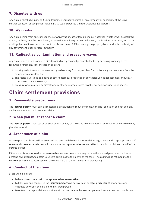### 9. Disputes with us

Any claim against **us**, Financial & Legal Insurance Company Limited or any company or subsidiary of the Drive Further collection of companies including MSL Legal Expenses Limited, Dualdrive & Supportis.

#### 10. War risks

Any claim arising from any consequence of war, invasion, act of foreign enemy, hostilities (whether war be declared or not), civil war, rebellion, revolution, insurrection or military or usurped power, confiscation, requisition, terrorism or alleged acts of terrorism as set out in the Terrorism Act 2000 or damage to property by or under the authority of any government, public or local authority.

#### 11. Radioactive contamination and pressure waves

Any claim, which arises from or is directly or indirectly caused by, contributed to, by or arising from any of the following, or from any similar reaction or event:

- 1. Ionising radiations or contamination by radioactivity from any nuclear fuel or from any nuclear waste from the combustion of nuclear fuel.
- 2. The radioactive, toxic, explosive or other hazardous properties of any explosive nuclear assembly or nuclear component of such assembly.
- 3. Pressure waves caused by aircraft or any other airborne devices travelling at sonic or supersonic speeds.

# Claim settlement provisions Claim settlement provisions

### 1. Reasonable precautions

The **insured person** must take all reasonable precautions to reduce or remove the risk of a claim and not take any deliberate acts which will result in a claim.

#### 2. When you must report a claim

The **insured person** must tell **us** as soon as reasonably possible and within 30 days of any circumstances which may give rise to a claim.

#### 3. Acceptance of claim 3. Acceptance of claim

On receipt of the claim it will be assessed and dealt with by **our** in-house claims negotiators and, if appropriate and if **reasonable prospects** exist, **we** will then instruct an **appointed representative** to handle the claim on behalf of the insured person.

If there is a dispute as to whether **reasonable prospects** exist, **we** may require the insured person, at the insured person's own expense, to obtain Counsel's opinion as to the merits of the case. The costs will be refunded to the **insured person** if Counsel's opinion shows clearly that there are merits in proceeding.

### 4. Conduct of the claim

(i) **We** will be entitled:

- To have direct contact with the **appointed representative**.
- To take over and conduct in the **insured person**'s name any claim or **legal proceedings** at any time and negotiate any claim on behalf of the insured person.
- To refuse to accept a claim or continue with a claim where the **insured person** does not take reasonable care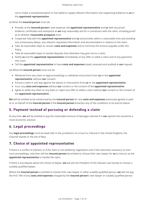not to make a misrepresentation or has failed to supply relevant information and supporting evidence to **us** or the **appointed representative**.

(ii) What the **insured person** must do:

- Provide, at the **insured person**'s own expense, the **appointed representative** and **us** with any proof, evidence, certificates and assistance as **we** may reasonably ask for in connection with the claim, including proof as to whether **reasonable prospects** exist.
- Cooperate fully with the **appointed representative** and **us** and provide, within a reasonable time and avoiding any unnecessary delays, any relevant requested information and documentation in relation to the claim.
- Take all reasonable steps to recover **costs and expenses** and to minimise the amount payable under this Policy.
- Take all reasonable steps to resolve disputes that otherwise may give rise to a claim.
- Notify **us** and the **appointed representative** immediately of any offer to settle a claim and of any payments into court.
- Tell the **appointed representative** to have **costs and expenses** taxed, assessed and audited at **our** request.

(iii) What the **insured person** must not do:

- Withdraw from any claim or legal proceedings or withdraw instructions from **us** or the **appointed representative**, without **our** consent.
- Pursue a claim in any way against the advice or instructions from **us** or the **appointed representative**.
- Incur any **costs and expenses** without **our** consent or the consent of the **appointed representative**.
- Agree to settle any claim on any basis or reject any offer to settle a claim without **our** consent or the consent of the **appointed representative**.

**We** will be entitled to be reimbursed by the **insured person** for any **costs and expenses** previously agreed or paid to or on behalf of the **insured person** if the **insured person** breaches any of the conditions in (ii) and (iii) above.

#### 5. Payment instead of pursuing or defending a claim

At any time, **we** will be entitled to pay the reasonable amount of damages claimed if in **our** opinion this would be a more economic solution.

#### 6. Legal proceedings 6. Legal proceedings

Any **legal proceedings** must be dealt with in the jurisdiction of a Court or tribunal in the United Kingdom, the Channel Islands or the Isle of Man.

#### 7. Choice of appointed representative

If there is a conflict of interest, or if the claim is not settled by negotiation and it then becomes necessary to start court proceedings, only then will the **insured person** be entitled to choose their own lawyer for **us** to instruct as the **appointed representative** to handle the claim.

If there is any dispute about the choice of lawyer, **we** will ask the President of the relevant Law Society to choose a suitably qualified lawyer.

Where the **insured person** is entitled to choose their own lawyer or other suitably qualified person, **we** will not pay the first 10% of any **costs and expenses** charged by the **insured person**'s own lawyer or suitably qualified person.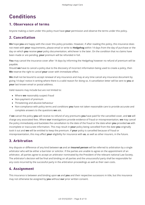# **Conditions**

#### 1. Observance of terms 1. Observance of terms

Anyone making a claim under this policy must have **your** permission and observe the terms under this policy.

### 2. Cancellation 2. Cancellation

**We** hope **you** are happy with the cover this policy provides. However, if after reading this policy, this insurance does not meet with **your** requirements, please email or write to **Hedgehog** within 14 days from the day of purchase or the day on which **you** receive **your** policy documentation, whichever is the later. On the condition that no claims have been made or are pending, **your** premium will be refunded in full.

**You** may cancel the insurance cover after 14 days by informing the Hedgehog however no refund of premium will be payable.

Should **we** have to cancel a policy due to the discovery of incorrect information being used to create a policy, then **We** reserve the right to cancel **your** cover with immediate effect.

**We** shall not be bound to accept renewal of any insurance and may at any time cancel any insurance document by giving 14 days' notice in writing where there is a valid reason for doing so. A cancellation letter will be sent to **you** at **your** last known email or postal address.

Valid reasons may include but are not limited to:

- Where **we** reasonably suspect fraud
- Non-payment of premium
- Threatening and abusive behaviour
- Non-compliance with policy terms and conditions **you** have not taken reasonable care to provide accurate and complete answers to the questions **we** ask.

If **we** cancel the policy **you** will receive no refund of any premiums **you** have paid for the cancelled cover, and **we** will charge any associated fees. Where **our** investigations provide evidence of fraud or misrepresentation, **we** may cancel the policy immediately and backdate the cancellation to the date of the fraud or the date when **you** provided **us** with incomplete or inaccurate information. This may result in **your** policy being cancelled from the date **you** originally took it out and **we** will be entitled to keep the premium. If **your** policy is cancelled because of fraud or misrepresentation, this may affect **your** eligibility for insurance with **us**, as well as other insurers, in the future.

### 3. Arbitration 3. Arbitration

Any dispute or difference of any kind between **us** and an **insured person** will be referred to arbitration by a single arbitrator who will be either a barrister or solicitor. If the parties are unable to agree on the appointment of an arbitrator, all parties agree to accept an arbitrator nominated by the President of the relevant national Law Society. The arbitrator's decision will be final and binding on all parties and the unsuccessful party shall be responsible for any costs incurred by the successful party in the arbitration proceedings as well as their own costs.

### 4. Assignment 4. Assignment

This insurance is between and binding upon **us** and **you** and their respective successors in title, but this insurance may not otherwise be assigned by **you** without **our** prior written consent.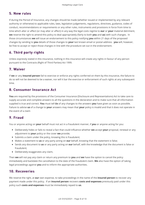#### 5. New rules

If during the Period of Insurance, any changes should be made (whether issued or implemented by any relevant authority or otherwise) to applicable rules, laws, legislation judgements, regulations, directives, guidance, codes of conduct, recommendations or requirements or any other rules, instruments and provisions in force from time to time which alter or affect (or may alter or affect) in any way the legal costs regime to **our** or **your** material detriment, **we** reserve the right to amend this policy to deal appropriately (fairly to both **you** and **us**) with such changes. In those circumstances **we** will issue an endorsement to this policy notifying **you** within 21 days of the proposed changes by sending to **you** details of those changes to **your** last known email or postal address. **you** will, however, be free to accept or reject those changes in line with the procedure set out in the endorsement.

#### 6. Third party rights 6. Third party rights

Unless expressly stated in this insurance, nothing in this insurance will create any rights in favour of any person pursuant to the Contracts (Right of Third Parties) Act 1999.

#### 7. Waiver 7. Waiver

If **we** or any **insured person** fail to exercise or enforce any rights conferred on them by this insurance, the failure to do so will not be deemed to be a waiver, nor will it bar the exercise or enforcement of such rights at any subsequent time.

#### 8. Consumer Insurance Act

**You** are required by the provisions of the Consumer Insurance (Disclosure and Representations) Act to take care to supply accurate and complete answers to all the questions in the declaration and to make sure that all information supplied is true and correct. **You** must tell **Us** of any changes to the answers **you** have given as soon as possible. Failure to advise **us** of a change to **your** answers may mean that **your** policy is invalid and that it does not operate in the event of a claim

#### 9. Fraud

You or anyone acting on **your** behalf must not act in a fraudulent manner, if **you** or anyone acting for you:

- Deliberately hides or fails to reveal a fact that could influence whether **we** accept **your** proposal, renewal or any adjustment to **your** policy or the cover **we** provide;
- Submits a claim under the policy, knowing this is fraudulent;
- Makes a statement to **us** or any party acting on **our** behalf, knowing that the statement is false;
- Sends any document to **us** or any party acting on **our** behalf, with the knowledge that the document is false or fraudulent;
- Deliberately exaggerates any claim,

Then **we** will not pay any claim or return any premium to **you** and **we** have the option to cancel the policy immediately and backdate the cancellation to the date of the fraudulent claim. **We** also have the option of taking legal proceedings against **you** and to inform the appropriate authorities.

#### 10. Recoveries

We reserve the right, at **our** own expense, to take proceedings in the name of the **insured person** to recover any payment made under this policy. If an **insured person** recovers **costs and expenses** previously paid under this policy such **costs and expenses** must be immediately repaid to **us**.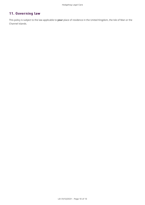### 11. Governing law

This policy is subject to the law applicable to **your** place of residence in the United Kingdom, the Isle of Man or the Channel Islands.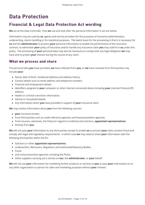# **Data Protection**

## Financial & Legal Data Protection Act wording

**We** act as the Data Controller. How **we** use and look after the personal information is set out below.

Information may be used by **us**, agents and service providers for the purposes of insurance administration, underwriting, claims handling or for statistical purposes. The lawful basis for the processing is that it is necessary for **us** and the **administrator** to process **your** personal information to enable the performance of the insurance contract, to administer **your** policy of insurance and/or handle any insurance claim **you** may submit to **us** under this policy. The processing of **your** personal data may also be necessary to comply with any legal obligation **we** may have and to protect **your** interest during the course of any claim.

#### What we process and share

The personal data **you** have provided, **we** have collected from **you**, or **we** have received from third parties may include **your**:

- Name; date of birth, residential address and address history.
- Contact details such as email address and telephone numbers.
- Financial and employment details.
- Identifiers assigned to **your** computer or other internet connected device including **your** Internet Protocol (IP) address.
- Health or criminal conviction information.
- Vehicle or household details.
- Any information which **you** have provided in support of **your** insurance claim.

**We** may receive information about **you** from the following sources:

- **your** insurance broker.
- From third parties such as credit reference agencies and fraud prevention agencies.
- From insurers, witnesses, the Police (in regard to incidents) and solicitors, **appointed representatives**.
- Directly from **you**.

**We** will not pass **your** information to any third parties except to enable **us** to process **your** claim, prevent fraud and comply with legal and regulatory requirements. In which case **we** may need to share **your** information with the following third parties within the EU:

- Solicitors or other **appointed representatives**.
- Underwriters, Reinsurers, Regulators and Authorised/Statutory Bodies.
- Fraud
- and crime prevention agencies, including the Police.
- Other suppliers carrying out a service on **our**, the **administrator**, or **your** behalf.

**We** will not use **your** information for marketing further products or services to **you** or pass **your** information on to any other organisation or person for sales and marketing purposes without **your** consent.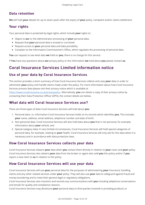### Data retention

**We** will hold **your** details for up to seven years after the expiry of **your** policy, complaint and/or claims settlement.

#### Your rights

Your personal data is protected by legal rights, which include **your** rights to:

- Object to **our** or the Administrator processing of **your** personal data.
- Request that **your** personal data is erased or corrected.
- Request access to **your** personal data and date portability.
- Complain to the Information Commissioner's Office, which regulates the processing of personal data.

**You** can request to see what data **we** hold on **you**, there is no charge for this service.

If **You** have any questions about **our** privacy policy or the information **we** hold about **you** please contact **us**.

### Coral Insurance Services Limited information notice

### Use of your data by Coral Insurance Services

This section provides a short summary of how Coral Insurance Services collects and uses **your** data in order to administer **your** policy and handle claims made under the policy. For more information about how Coral Insurance Services process data please visit their privacy notice which is available at

[https://www.coralinsurance.co.uk/privacypolicy.](https://www.coralinsurance.co.uk/privacypolicy) Alternatively, **you** can obtain a copy of their privacy notice by contacting their Data Protection Officer (DPO), the contact details are below.

#### What data will Coral Insurance Services use?

There are three types of data Coral Insurance Services will hold about **you**:

- 1. Personal data: i.e. information Coral Insurance Services holds on its records which identifies **you**. This includes **your** name, address, email address, telephone number and date of birth;
- 2. Non-personal data: Coral Insurance Services will also hold data about **you** that is not personal, for example, information about **your** vehicle; and
- 3. Special category data: In very limited circumstances, Coral Insurance Services will hold special categories of personal data, for example, relating to **your** health. Coral Insurance Services will only ask for this data when it is necessary and in accordance with data protection laws.

#### How Coral Insurance Services collects your data Coral Insurance Services collects your data

Coral Insurance Services obtains **your** data when **you** contact them directly in relation to **your** cover and **your** policy. Coral Insurance Services also obtains **your** data from the broker or agent who sold **you** this policy and/or if **you** report a new claim to **us** in relation to this policy.

#### How Coral Insurance Services will use your data

Coral Insurance Services will use **your** personal data for the purposes of administering **your** insurance, handling claims and any other related services under **your** policy. They will also use **your** data to safeguard against fraud and money laundering and to meet their general legal or regulatory obligations.

Coral Insurance Services also monitors and records any communications with **you** including telephone conversations and emails for quality and compliance reasons.

Coral Insurance Services may disclosure **your** personal data to third parties involved in providing products or